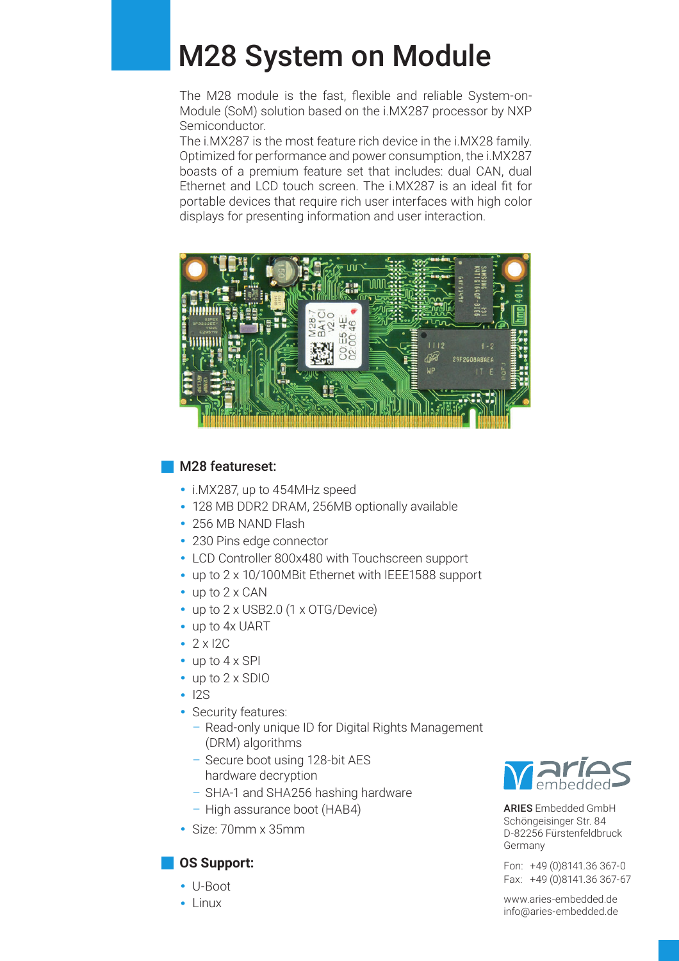## M28 System on Module

The M28 module is the fast, flexible and reliable System-on-Module (SoM) solution based on the i.MX287 processor by NXP Semiconductor.

The i.MX287 is the most feature rich device in the i.MX28 family. Optimized for performance and power consumption, the i.MX287 boasts of a premium feature set that includes: dual CAN, dual Ethernet and LCD touch screen. The i.MX287 is an ideal fit for portable devices that require rich user interfaces with high color displays for presenting information and user interaction.



#### M28 featureset:

- **·** i.MX287, up to 454MHz speed
- **·** 128 MB DDR2 DRAM, 256MB optionally available
- **·** 256 MB NAND Flash
- **·** 230 Pins edge connector
- **·** LCD Controller 800x480 with Touchscreen support
- **·** up to 2 x 10/100MBit Ethernet with IEEE1588 support
- **·** up to 2 x CAN
- **·** up to 2 x USB2.0 (1 x OTG/Device)
- **·** up to 4x UART
- **·** 2 x I2C
- **·** up to 4 x SPI
- **·** up to 2 x SDIO
- **·** I2S
- **·** Security features:
	- Read-only unique ID for Digital Rights Management (DRM) algorithms
	- Secure boot using 128-bit AES hardware decryption
	- SHA-1 and SHA256 hashing hardware
	- High assurance boot (HAB4)
- **·** Size: 70mm x 35mm

## **OS Support:**

- **·** U-Boot
- **·** Linux



ARIES Embedded GmbH Schöngeisinger Str. 84 D-82256 Fürstenfeldbruck Germany

Fon: +49 (0)8141.36 367-0 Fax: +49 (0)8141.36 367-67

www.aries-embedded.de info@aries-embedded.de